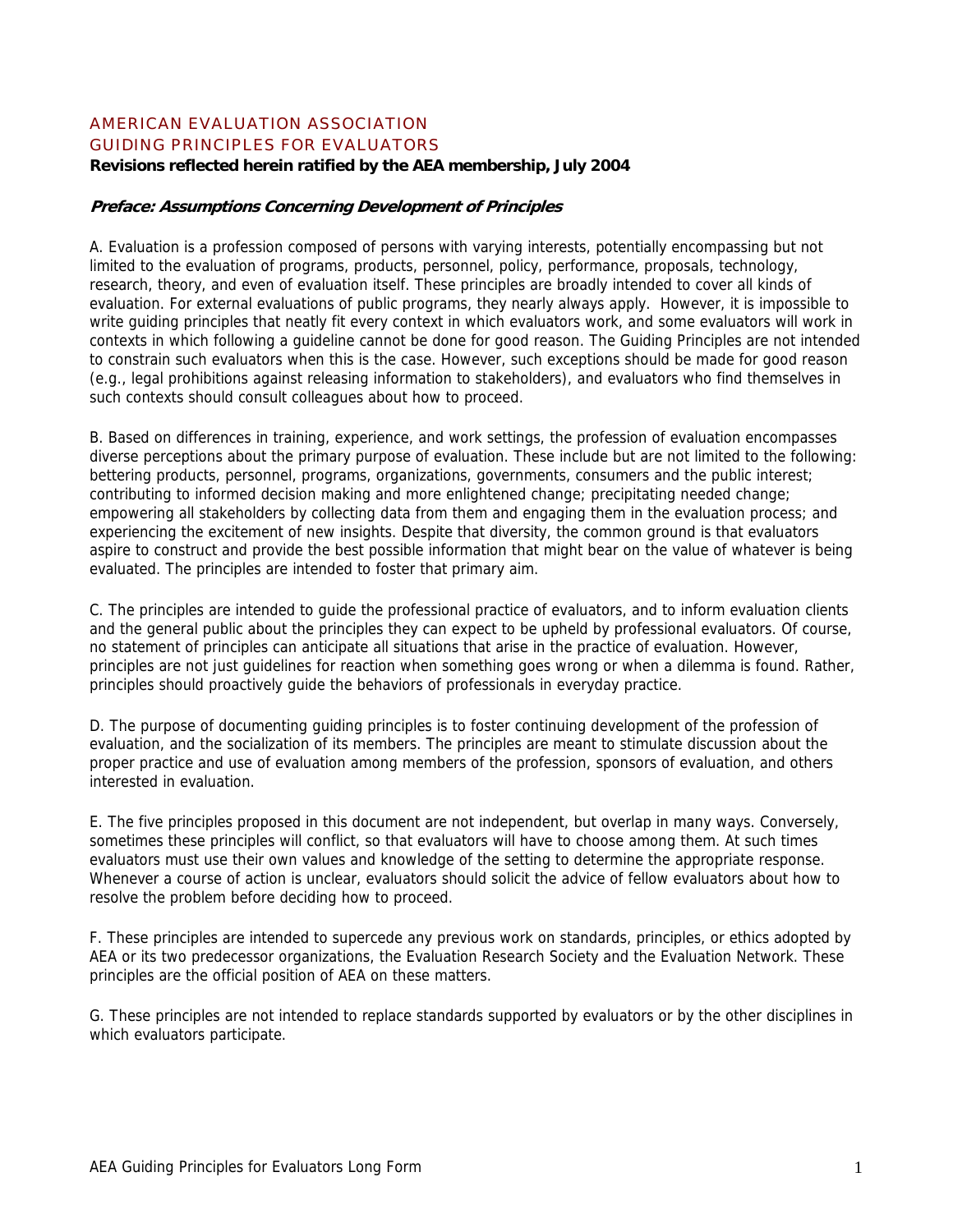## AMERICAN EVALUATION ASSOCIATION GUIDING PRINCIPLES FOR EVALUATORS **Revisions reflected herein ratified by the AEA membership, July 2004**

## **Preface: Assumptions Concerning Development of Principles**

A. Evaluation is a profession composed of persons with varying interests, potentially encompassing but not limited to the evaluation of programs, products, personnel, policy, performance, proposals, technology, research, theory, and even of evaluation itself. These principles are broadly intended to cover all kinds of evaluation. For external evaluations of public programs, they nearly always apply. However, it is impossible to write guiding principles that neatly fit every context in which evaluators work, and some evaluators will work in contexts in which following a guideline cannot be done for good reason. The Guiding Principles are not intended to constrain such evaluators when this is the case. However, such exceptions should be made for good reason (e.g., legal prohibitions against releasing information to stakeholders), and evaluators who find themselves in such contexts should consult colleagues about how to proceed.

B. Based on differences in training, experience, and work settings, the profession of evaluation encompasses diverse perceptions about the primary purpose of evaluation. These include but are not limited to the following: bettering products, personnel, programs, organizations, governments, consumers and the public interest; contributing to informed decision making and more enlightened change; precipitating needed change; empowering all stakeholders by collecting data from them and engaging them in the evaluation process; and experiencing the excitement of new insights. Despite that diversity, the common ground is that evaluators aspire to construct and provide the best possible information that might bear on the value of whatever is being evaluated. The principles are intended to foster that primary aim.

C. The principles are intended to guide the professional practice of evaluators, and to inform evaluation clients and the general public about the principles they can expect to be upheld by professional evaluators. Of course, no statement of principles can anticipate all situations that arise in the practice of evaluation. However, principles are not just guidelines for reaction when something goes wrong or when a dilemma is found. Rather, principles should proactively guide the behaviors of professionals in everyday practice.

D. The purpose of documenting guiding principles is to foster continuing development of the profession of evaluation, and the socialization of its members. The principles are meant to stimulate discussion about the proper practice and use of evaluation among members of the profession, sponsors of evaluation, and others interested in evaluation.

E. The five principles proposed in this document are not independent, but overlap in many ways. Conversely, sometimes these principles will conflict, so that evaluators will have to choose among them. At such times evaluators must use their own values and knowledge of the setting to determine the appropriate response. Whenever a course of action is unclear, evaluators should solicit the advice of fellow evaluators about how to resolve the problem before deciding how to proceed.

F. These principles are intended to supercede any previous work on standards, principles, or ethics adopted by AEA or its two predecessor organizations, the Evaluation Research Society and the Evaluation Network. These principles are the official position of AEA on these matters.

G. These principles are not intended to replace standards supported by evaluators or by the other disciplines in which evaluators participate.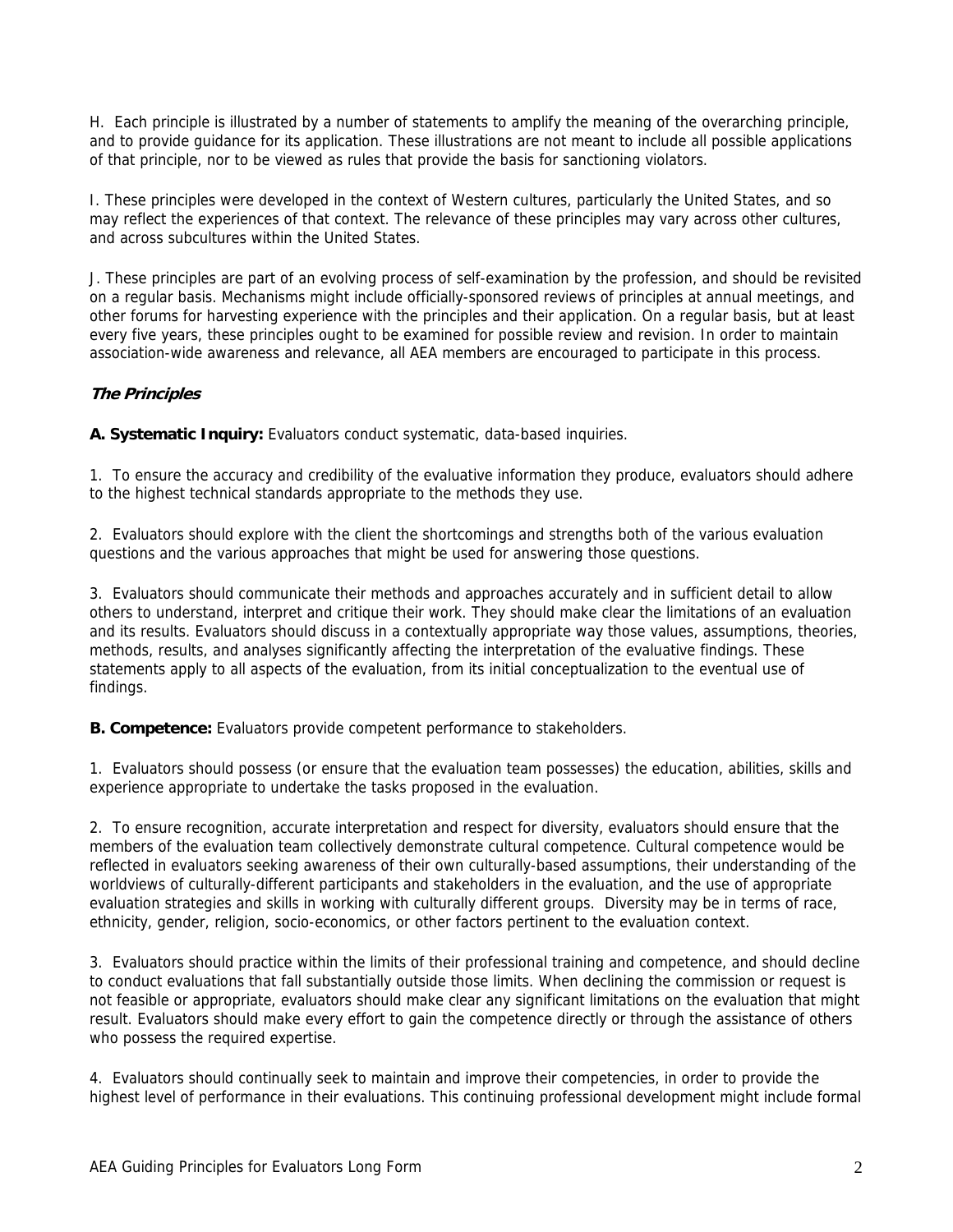H. Each principle is illustrated by a number of statements to amplify the meaning of the overarching principle, and to provide guidance for its application. These illustrations are not meant to include all possible applications of that principle, nor to be viewed as rules that provide the basis for sanctioning violators.

I. These principles were developed in the context of Western cultures, particularly the United States, and so may reflect the experiences of that context. The relevance of these principles may vary across other cultures, and across subcultures within the United States.

J. These principles are part of an evolving process of self-examination by the profession, and should be revisited on a regular basis. Mechanisms might include officially-sponsored reviews of principles at annual meetings, and other forums for harvesting experience with the principles and their application. On a regular basis, but at least every five years, these principles ought to be examined for possible review and revision. In order to maintain association-wide awareness and relevance, all AEA members are encouraged to participate in this process.

## **The Principles**

**A. Systematic Inquiry:** Evaluators conduct systematic, data-based inquiries.

1. To ensure the accuracy and credibility of the evaluative information they produce, evaluators should adhere to the highest technical standards appropriate to the methods they use.

2. Evaluators should explore with the client the shortcomings and strengths both of the various evaluation questions and the various approaches that might be used for answering those questions.

3. Evaluators should communicate their methods and approaches accurately and in sufficient detail to allow others to understand, interpret and critique their work. They should make clear the limitations of an evaluation and its results. Evaluators should discuss in a contextually appropriate way those values, assumptions, theories, methods, results, and analyses significantly affecting the interpretation of the evaluative findings. These statements apply to all aspects of the evaluation, from its initial conceptualization to the eventual use of findings.

**B. Competence:** Evaluators provide competent performance to stakeholders.

1. Evaluators should possess (or ensure that the evaluation team possesses) the education, abilities, skills and experience appropriate to undertake the tasks proposed in the evaluation.

2. To ensure recognition, accurate interpretation and respect for diversity, evaluators should ensure that the members of the evaluation team collectively demonstrate cultural competence. Cultural competence would be reflected in evaluators seeking awareness of their own culturally-based assumptions, their understanding of the worldviews of culturally-different participants and stakeholders in the evaluation, and the use of appropriate evaluation strategies and skills in working with culturally different groups. Diversity may be in terms of race, ethnicity, gender, religion, socio-economics, or other factors pertinent to the evaluation context.

3. Evaluators should practice within the limits of their professional training and competence, and should decline to conduct evaluations that fall substantially outside those limits. When declining the commission or request is not feasible or appropriate, evaluators should make clear any significant limitations on the evaluation that might result. Evaluators should make every effort to gain the competence directly or through the assistance of others who possess the required expertise.

4. Evaluators should continually seek to maintain and improve their competencies, in order to provide the highest level of performance in their evaluations. This continuing professional development might include formal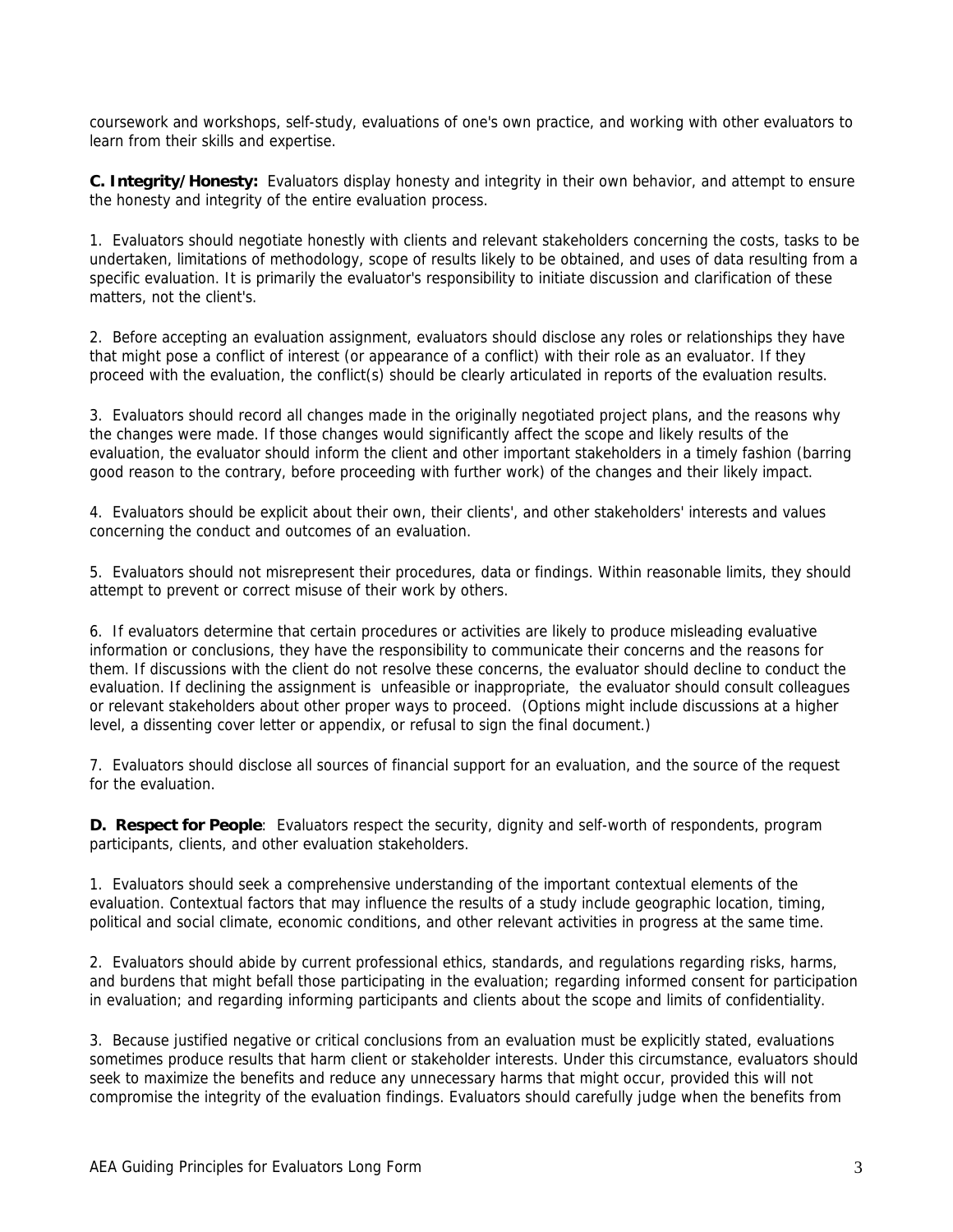coursework and workshops, self-study, evaluations of one's own practice, and working with other evaluators to learn from their skills and expertise.

**C. Integrity/Honesty:** Evaluators display honesty and integrity in their own behavior, and attempt to ensure the honesty and integrity of the entire evaluation process.

1. Evaluators should negotiate honestly with clients and relevant stakeholders concerning the costs, tasks to be undertaken, limitations of methodology, scope of results likely to be obtained, and uses of data resulting from a specific evaluation. It is primarily the evaluator's responsibility to initiate discussion and clarification of these matters, not the client's.

2. Before accepting an evaluation assignment, evaluators should disclose any roles or relationships they have that might pose a conflict of interest (or appearance of a conflict) with their role as an evaluator. If they proceed with the evaluation, the conflict(s) should be clearly articulated in reports of the evaluation results.

3. Evaluators should record all changes made in the originally negotiated project plans, and the reasons why the changes were made. If those changes would significantly affect the scope and likely results of the evaluation, the evaluator should inform the client and other important stakeholders in a timely fashion (barring good reason to the contrary, before proceeding with further work) of the changes and their likely impact.

4. Evaluators should be explicit about their own, their clients', and other stakeholders' interests and values concerning the conduct and outcomes of an evaluation.

5. Evaluators should not misrepresent their procedures, data or findings. Within reasonable limits, they should attempt to prevent or correct misuse of their work by others.

6. If evaluators determine that certain procedures or activities are likely to produce misleading evaluative information or conclusions, they have the responsibility to communicate their concerns and the reasons for them. If discussions with the client do not resolve these concerns, the evaluator should decline to conduct the evaluation. If declining the assignment is unfeasible or inappropriate, the evaluator should consult colleagues or relevant stakeholders about other proper ways to proceed. (Options might include discussions at a higher level, a dissenting cover letter or appendix, or refusal to sign the final document.)

7. Evaluators should disclose all sources of financial support for an evaluation, and the source of the request for the evaluation.

**D. Respect for People**: Evaluators respect the security, dignity and self-worth of respondents, program participants, clients, and other evaluation stakeholders.

1. Evaluators should seek a comprehensive understanding of the important contextual elements of the evaluation. Contextual factors that may influence the results of a study include geographic location, timing, political and social climate, economic conditions, and other relevant activities in progress at the same time.

2. Evaluators should abide by current professional ethics, standards, and regulations regarding risks, harms, and burdens that might befall those participating in the evaluation; regarding informed consent for participation in evaluation; and regarding informing participants and clients about the scope and limits of confidentiality.

3. Because justified negative or critical conclusions from an evaluation must be explicitly stated, evaluations sometimes produce results that harm client or stakeholder interests. Under this circumstance, evaluators should seek to maximize the benefits and reduce any unnecessary harms that might occur, provided this will not compromise the integrity of the evaluation findings. Evaluators should carefully judge when the benefits from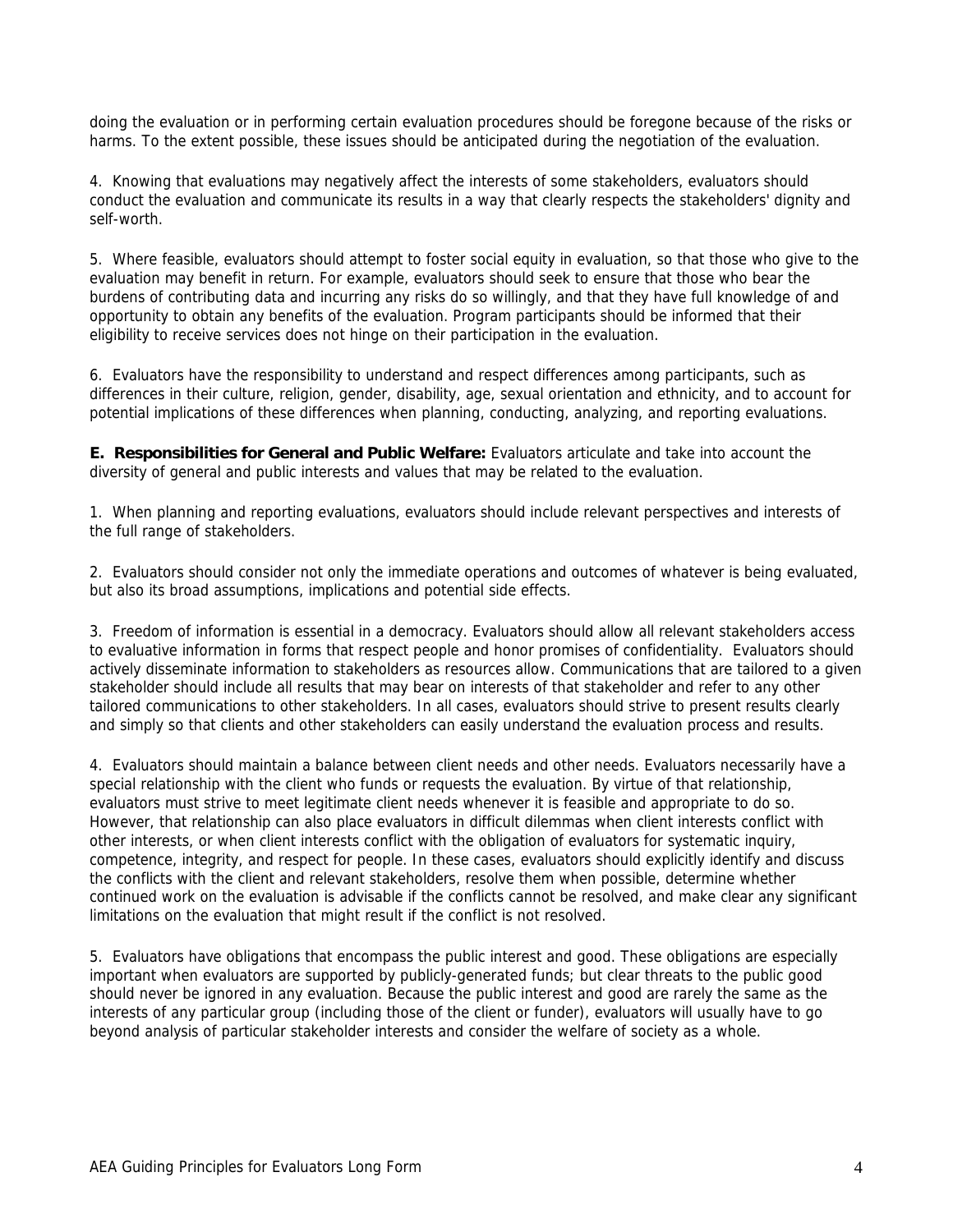doing the evaluation or in performing certain evaluation procedures should be foregone because of the risks or harms. To the extent possible, these issues should be anticipated during the negotiation of the evaluation.

4. Knowing that evaluations may negatively affect the interests of some stakeholders, evaluators should conduct the evaluation and communicate its results in a way that clearly respects the stakeholders' dignity and self-worth.

5. Where feasible, evaluators should attempt to foster social equity in evaluation, so that those who give to the evaluation may benefit in return. For example, evaluators should seek to ensure that those who bear the burdens of contributing data and incurring any risks do so willingly, and that they have full knowledge of and opportunity to obtain any benefits of the evaluation. Program participants should be informed that their eligibility to receive services does not hinge on their participation in the evaluation.

6. Evaluators have the responsibility to understand and respect differences among participants, such as differences in their culture, religion, gender, disability, age, sexual orientation and ethnicity, and to account for potential implications of these differences when planning, conducting, analyzing, and reporting evaluations.

**E. Responsibilities for General and Public Welfare:** Evaluators articulate and take into account the diversity of general and public interests and values that may be related to the evaluation.

1. When planning and reporting evaluations, evaluators should include relevant perspectives and interests of the full range of stakeholders.

2. Evaluators should consider not only the immediate operations and outcomes of whatever is being evaluated, but also its broad assumptions, implications and potential side effects.

3. Freedom of information is essential in a democracy. Evaluators should allow all relevant stakeholders access to evaluative information in forms that respect people and honor promises of confidentiality. Evaluators should actively disseminate information to stakeholders as resources allow. Communications that are tailored to a given stakeholder should include all results that may bear on interests of that stakeholder and refer to any other tailored communications to other stakeholders. In all cases, evaluators should strive to present results clearly and simply so that clients and other stakeholders can easily understand the evaluation process and results.

4. Evaluators should maintain a balance between client needs and other needs. Evaluators necessarily have a special relationship with the client who funds or requests the evaluation. By virtue of that relationship, evaluators must strive to meet legitimate client needs whenever it is feasible and appropriate to do so. However, that relationship can also place evaluators in difficult dilemmas when client interests conflict with other interests, or when client interests conflict with the obligation of evaluators for systematic inquiry, competence, integrity, and respect for people. In these cases, evaluators should explicitly identify and discuss the conflicts with the client and relevant stakeholders, resolve them when possible, determine whether continued work on the evaluation is advisable if the conflicts cannot be resolved, and make clear any significant limitations on the evaluation that might result if the conflict is not resolved.

5. Evaluators have obligations that encompass the public interest and good. These obligations are especially important when evaluators are supported by publicly-generated funds; but clear threats to the public good should never be ignored in any evaluation. Because the public interest and good are rarely the same as the interests of any particular group (including those of the client or funder), evaluators will usually have to go beyond analysis of particular stakeholder interests and consider the welfare of society as a whole.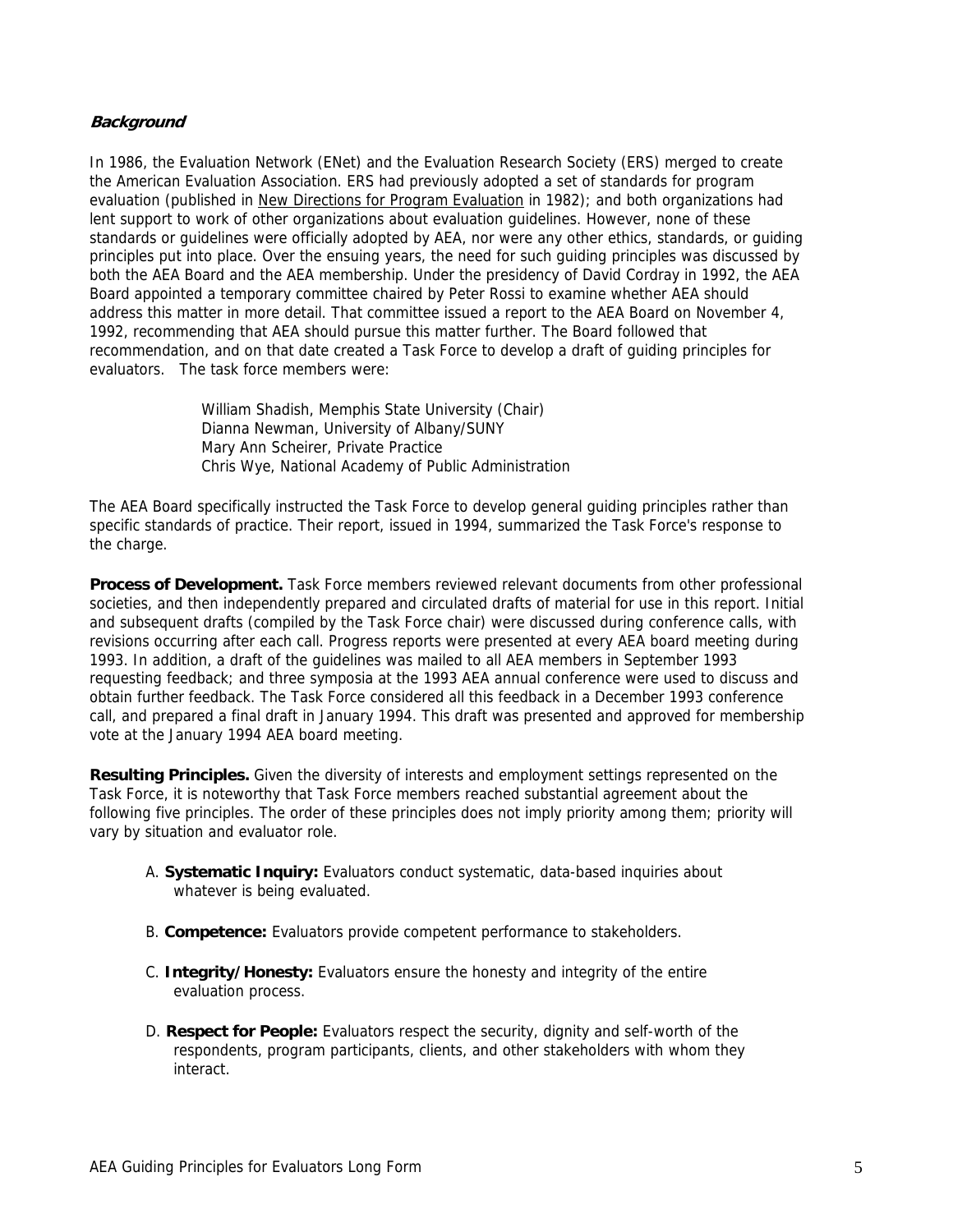## **Background**

In 1986, the Evaluation Network (ENet) and the Evaluation Research Society (ERS) merged to create the American Evaluation Association. ERS had previously adopted a set of standards for program evaluation (published in New Directions for Program Evaluation in 1982); and both organizations had lent support to work of other organizations about evaluation guidelines. However, none of these standards or guidelines were officially adopted by AEA, nor were any other ethics, standards, or guiding principles put into place. Over the ensuing years, the need for such guiding principles was discussed by both the AEA Board and the AEA membership. Under the presidency of David Cordray in 1992, the AEA Board appointed a temporary committee chaired by Peter Rossi to examine whether AEA should address this matter in more detail. That committee issued a report to the AEA Board on November 4, 1992, recommending that AEA should pursue this matter further. The Board followed that recommendation, and on that date created a Task Force to develop a draft of guiding principles for evaluators. The task force members were:

> William Shadish, Memphis State University (Chair) Dianna Newman, University of Albany/SUNY Mary Ann Scheirer, Private Practice Chris Wye, National Academy of Public Administration

The AEA Board specifically instructed the Task Force to develop general guiding principles rather than specific standards of practice. Their report, issued in 1994, summarized the Task Force's response to the charge.

**Process of Development.** Task Force members reviewed relevant documents from other professional societies, and then independently prepared and circulated drafts of material for use in this report. Initial and subsequent drafts (compiled by the Task Force chair) were discussed during conference calls, with revisions occurring after each call. Progress reports were presented at every AEA board meeting during 1993. In addition, a draft of the guidelines was mailed to all AEA members in September 1993 requesting feedback; and three symposia at the 1993 AEA annual conference were used to discuss and obtain further feedback. The Task Force considered all this feedback in a December 1993 conference call, and prepared a final draft in January 1994. This draft was presented and approved for membership vote at the January 1994 AEA board meeting.

**Resulting Principles.** Given the diversity of interests and employment settings represented on the Task Force, it is noteworthy that Task Force members reached substantial agreement about the following five principles. The order of these principles does not imply priority among them; priority will vary by situation and evaluator role.

- A. **Systematic Inquiry:** Evaluators conduct systematic, data-based inquiries about whatever is being evaluated.
- B. **Competence:** Evaluators provide competent performance to stakeholders.
- C. **Integrity/Honesty:** Evaluators ensure the honesty and integrity of the entire evaluation process.
- D. **Respect for People:** Evaluators respect the security, dignity and self-worth of the respondents, program participants, clients, and other stakeholders with whom they interact.